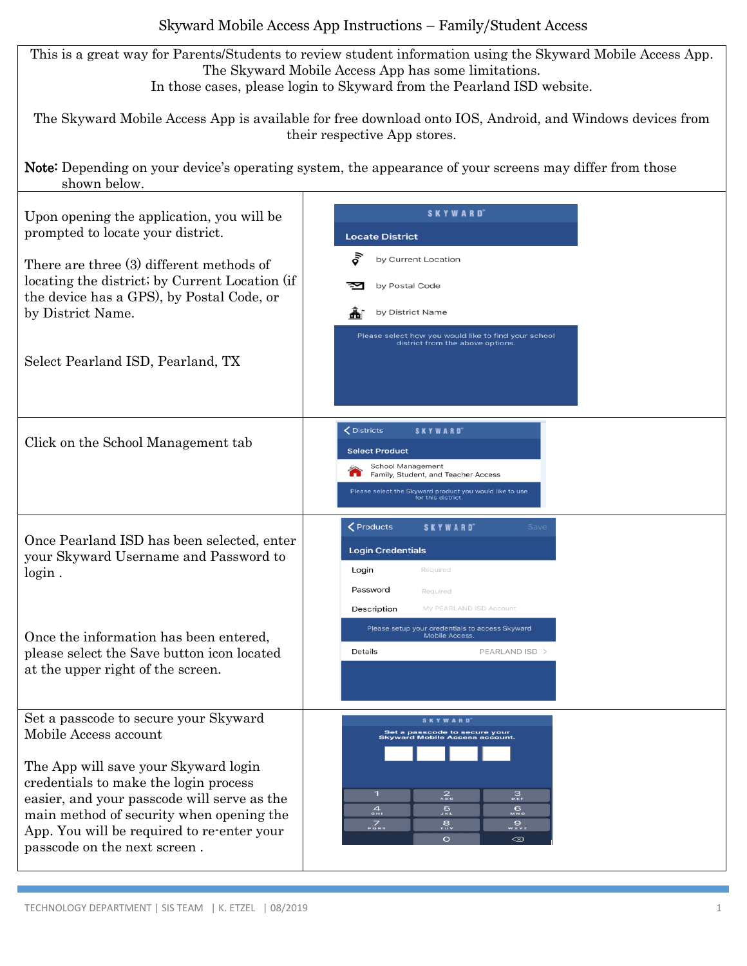## Skyward Mobile Access App Instructions – Family/Student Access

This is a great way for Parents/Students to review student information using the Skyward Mobile Access App. The Skyward Mobile Access App has some limitations. In those cases, please login to Skyward from the Pearland ISD website.

The Skyward Mobile Access App is available for free download onto IOS, Android, and Windows devices from their respective App stores.

Note: Depending on your device's operating system, the appearance of your screens may differ from those shown below.

| Upon opening the application, you will be<br>prompted to locate your district.<br>There are three (3) different methods of<br>locating the district; by Current Location (if<br>the device has a GPS), by Postal Code, or<br>by District Name.<br>Select Pearland ISD, Pearland, TX                                      | <b>SKYWARD</b><br><b>Locate District</b><br>δĬ<br>by Current Location<br>by Postal Code<br>by District Name<br>Please select how you would like to find your school<br>district from the above options.                                                                    |
|--------------------------------------------------------------------------------------------------------------------------------------------------------------------------------------------------------------------------------------------------------------------------------------------------------------------------|----------------------------------------------------------------------------------------------------------------------------------------------------------------------------------------------------------------------------------------------------------------------------|
| Click on the School Management tab                                                                                                                                                                                                                                                                                       | <b>くDistricts</b><br><b>SKYWARD</b><br><b>Select Product</b><br>School Management<br>Family, Student, and Teacher Access<br>Please select the Skyward product you would like to use<br>for this district                                                                   |
| Once Pearland ISD has been selected, enter<br>your Skyward Username and Password to<br>login.                                                                                                                                                                                                                            | <b>くProducts</b><br><b>SKYWARD</b> ®<br>Save<br><b>Login Credentials</b><br>Login<br>Required<br>Password<br>Required                                                                                                                                                      |
| Once the information has been entered,<br>please select the Save button icon located<br>at the upper right of the screen.                                                                                                                                                                                                | My PEARLAND ISD Account<br>Description<br>Please setup your credentials to access Skyward<br>Mobile Access.<br>Details<br>PEARLAND ISD >                                                                                                                                   |
| Set a passcode to secure your Skyward<br>Mobile Access account<br>The App will save your Skyward login<br>credentials to make the login process<br>easier, and your passcode will serve as the<br>main method of security when opening the<br>App. You will be required to re-enter your<br>passcode on the next screen. | <b>SKYWARD</b><br>Set a passcode to secure your<br><b>Skyward Mobile Access account</b><br>$\mathbf{1}$<br>$2\atop{0.15}$<br>$3\atop{5}{\circ}$<br>$\frac{4}{10}$<br>$\frac{1}{2}$<br>៙៓៓៓៓៓៓៓៓៓៓៓៓៓៓៓៓៓<br>$\frac{7}{\sqrt{2}}$<br>នូ<br>w×vz<br>$\circ$<br>$\circledast$ |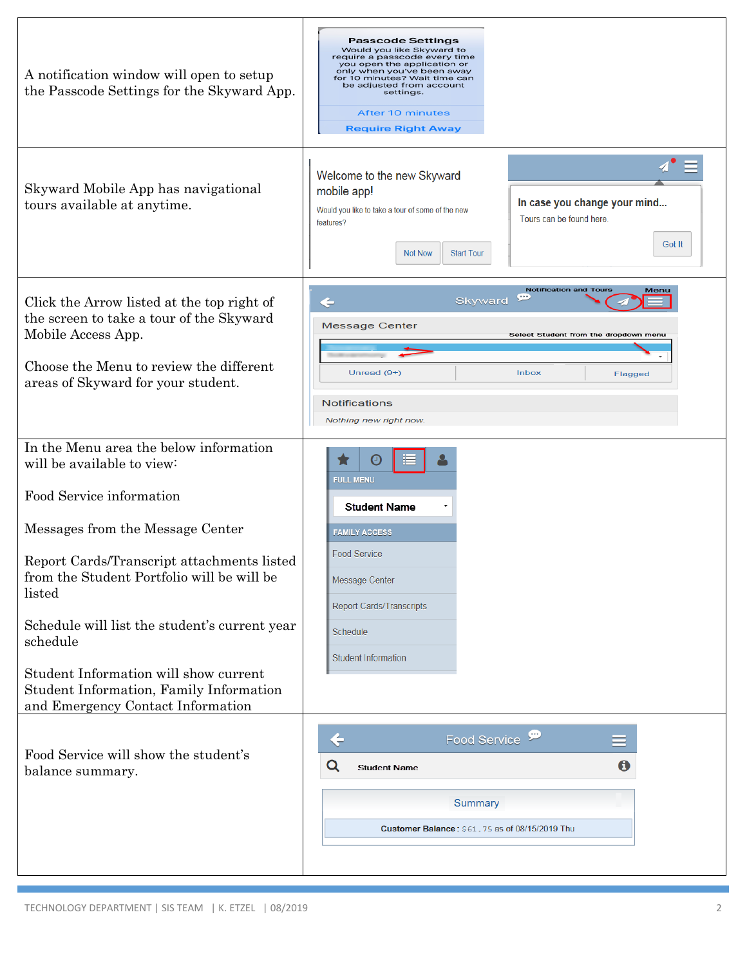| A notification window will open to setup<br>the Passcode Settings for the Skyward App.                                                                                                                                                                                                                                                                                                                                           | <b>Passcode Settings</b><br>Would you like Skyward to<br>require a passcode every time<br>you open the application or<br>only when you've been away<br>for 10 minutes? Wait time can<br>be adjusted from account<br>settings.<br><b>After 10 minutes</b><br><b>Require Right Away</b> |
|----------------------------------------------------------------------------------------------------------------------------------------------------------------------------------------------------------------------------------------------------------------------------------------------------------------------------------------------------------------------------------------------------------------------------------|---------------------------------------------------------------------------------------------------------------------------------------------------------------------------------------------------------------------------------------------------------------------------------------|
| Skyward Mobile App has navigational<br>tours available at anytime.                                                                                                                                                                                                                                                                                                                                                               | Welcome to the new Skyward<br>mobile app!<br>In case you change your mind<br>Would you like to take a tour of some of the new<br>Tours can be found here.<br>features?<br>Got It<br><b>Not Now</b><br><b>Start Tour</b>                                                               |
| Click the Arrow listed at the top right of<br>the screen to take a tour of the Skyward<br>Mobile Access App.<br>Choose the Menu to review the different<br>areas of Skyward for your student.                                                                                                                                                                                                                                    | <b>Notification and Tours</b><br>Menu<br>$\overline{(\cdots)}$<br>Skyward<br>$\leftarrow$<br><b>Message Center</b><br>Select Student from the dropdown menu<br>Inbox<br>Unread $(9+)$<br>Flagged<br><b>Notifications</b><br>Nothing new right now.                                    |
| In the Menu area the below information<br>will be available to view:<br>Food Service information<br>Messages from the Message Center<br>Report Cards/Transcript attachments listed<br>from the Student Portfolio will be will be<br>listed<br>Schedule will list the student's current year<br>schedule<br>Student Information will show current<br>Student Information, Family Information<br>and Emergency Contact Information | <b>FULL MENU</b><br><b>Student Name</b><br><b>FAMILY ACCESS</b><br><b>Food Service</b><br>Message Center<br>Report Cards/Transcripts<br>Schedule<br><b>Student Information</b>                                                                                                        |
| Food Service will show the student's<br>balance summary.                                                                                                                                                                                                                                                                                                                                                                         | Food Service <sup>99</sup><br>$\overline{\mathbf{C}}$<br>$\mathbf 6$<br>Q<br><b>Student Name</b><br>Summary<br>Customer Balance: \$61,75 as of 08/15/2019 Thu                                                                                                                         |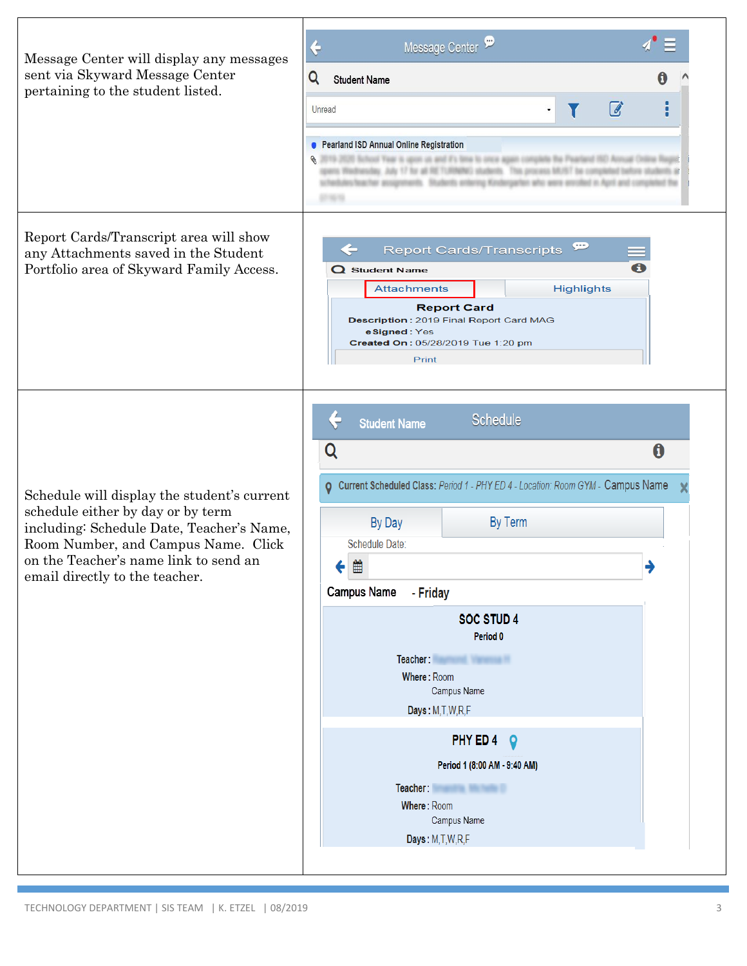| Message Center will display any messages<br>sent via Skyward Message Center<br>pertaining to the student listed.                                                                                                                                | Message Center<br>$\div$<br>Q<br><b>Student Name</b><br>☑<br>Unread<br>$\blacksquare$<br>• Pearland ISD Annual Online Registration<br>2019-2020 School Year is upon us and it's lime to once again complete the Pearland ISO Annual Online Regist<br>iday, July 17 for all RETURNING students. This process MUST be completed before students at<br>esteacher assignments. Students entering Kindergarten who were enrolled in April and completed the                                                                                 |              |
|-------------------------------------------------------------------------------------------------------------------------------------------------------------------------------------------------------------------------------------------------|----------------------------------------------------------------------------------------------------------------------------------------------------------------------------------------------------------------------------------------------------------------------------------------------------------------------------------------------------------------------------------------------------------------------------------------------------------------------------------------------------------------------------------------|--------------|
| Report Cards/Transcript area will show<br>any Attachments saved in the Student<br>Portfolio area of Skyward Family Access.                                                                                                                      | $\mathbf{P}$<br><b>Report Cards/Transcripts</b><br>$\Omega$ Student Name<br><b>Attachments</b><br><b>Highlights</b><br><b>Report Card</b><br>Description: 2019 Final Report Card MAG<br>eSigned: Yes<br>Created On: 05/28/2019 Tue 1:20 pm<br>Print                                                                                                                                                                                                                                                                                    |              |
| Schedule will display the student's current<br>schedule either by day or by term<br>including: Schedule Date, Teacher's Name,<br>Room Number, and Campus Name. Click<br>on the Teacher's name link to send an<br>email directly to the teacher. | <b>Schedule</b><br><b>Student Name</b><br>Q<br>O Current Scheduled Class: Period 1 - PHY ED 4 - Location: Room GYM - Campus Name<br>By Term<br>By Day<br>Schedule Date:<br>≝<br>▼ 1<br><b>Campus Name</b><br>- Friday<br><b>SOC STUD 4</b><br>Period <sub>0</sub><br>Teacher: Williams and Williams<br>Where: Room<br>Campus Name<br>Days: M,T,W,R,F<br>PHY ED 4<br>$\boldsymbol{Q}$<br>Period 1 (8:00 AM - 9:40 AM)<br>Teacher: <b>William Company of the Company of the Company</b><br>Where: Room<br>Campus Name<br>Days: M,T,W,R,F | $\bf \theta$ |